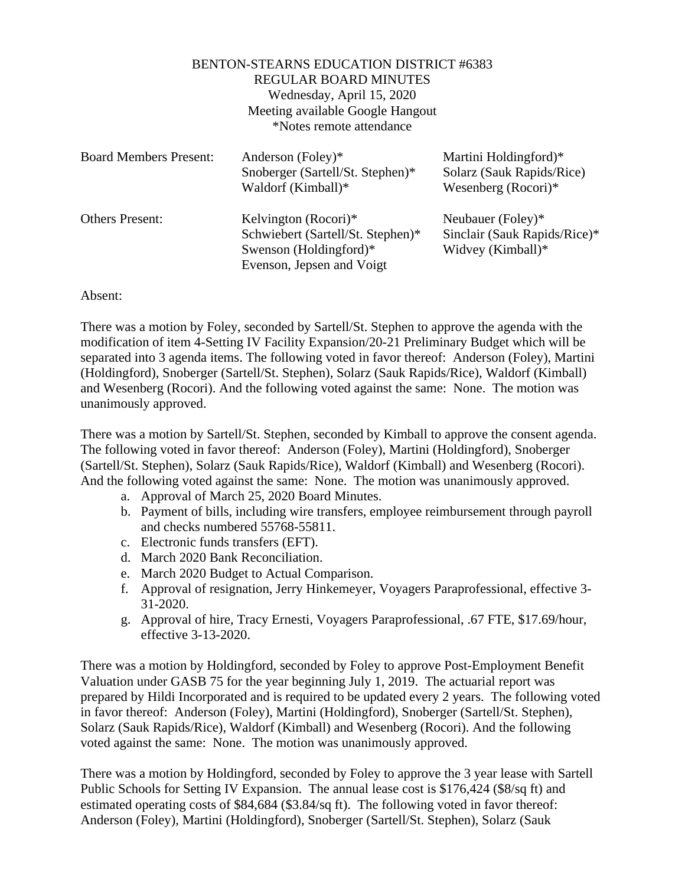## BENTON-STEARNS EDUCATION DISTRICT #6383 REGULAR BOARD MINUTES Wednesday, April 15, 2020 Meeting available Google Hangout \*Notes remote attendance

| <b>Board Members Present:</b> | Anderson (Foley)*<br>Snoberger (Sartell/St. Stephen)*<br>Waldorf (Kimball)*                                      | Martini Holdingford)*<br>Solarz (Sauk Rapids/Rice)<br>Wesenberg (Rocori)* |
|-------------------------------|------------------------------------------------------------------------------------------------------------------|---------------------------------------------------------------------------|
| <b>Others Present:</b>        | Kelvington (Rocori)*<br>Schwiebert (Sartell/St. Stephen)*<br>Swenson (Holdingford)*<br>Evenson, Jepsen and Voigt | Neubauer (Foley)*<br>Sinclair (Sauk Rapids/Rice)*<br>Widvey (Kimball)*    |

## Absent:

There was a motion by Foley, seconded by Sartell/St. Stephen to approve the agenda with the modification of item 4-Setting IV Facility Expansion/20-21 Preliminary Budget which will be separated into 3 agenda items. The following voted in favor thereof: Anderson (Foley), Martini (Holdingford), Snoberger (Sartell/St. Stephen), Solarz (Sauk Rapids/Rice), Waldorf (Kimball) and Wesenberg (Rocori). And the following voted against the same: None. The motion was unanimously approved.

There was a motion by Sartell/St. Stephen, seconded by Kimball to approve the consent agenda. The following voted in favor thereof: Anderson (Foley), Martini (Holdingford), Snoberger (Sartell/St. Stephen), Solarz (Sauk Rapids/Rice), Waldorf (Kimball) and Wesenberg (Rocori). And the following voted against the same: None. The motion was unanimously approved.

- a. Approval of March 25, 2020 Board Minutes.
- b. Payment of bills, including wire transfers, employee reimbursement through payroll and checks numbered 55768-55811.
- c. Electronic funds transfers (EFT).
- d. March 2020 Bank Reconciliation.
- e. March 2020 Budget to Actual Comparison.
- f. Approval of resignation, Jerry Hinkemeyer, Voyagers Paraprofessional, effective 3- 31-2020.
- g. Approval of hire, Tracy Ernesti, Voyagers Paraprofessional, .67 FTE, \$17.69/hour, effective 3-13-2020.

There was a motion by Holdingford, seconded by Foley to approve Post-Employment Benefit Valuation under GASB 75 for the year beginning July 1, 2019. The actuarial report was prepared by Hildi Incorporated and is required to be updated every 2 years. The following voted in favor thereof: Anderson (Foley), Martini (Holdingford), Snoberger (Sartell/St. Stephen), Solarz (Sauk Rapids/Rice), Waldorf (Kimball) and Wesenberg (Rocori). And the following voted against the same: None. The motion was unanimously approved.

There was a motion by Holdingford, seconded by Foley to approve the 3 year lease with Sartell Public Schools for Setting IV Expansion. The annual lease cost is \$176,424 (\$8/sq ft) and estimated operating costs of \$84,684 (\$3.84/sq ft). The following voted in favor thereof: Anderson (Foley), Martini (Holdingford), Snoberger (Sartell/St. Stephen), Solarz (Sauk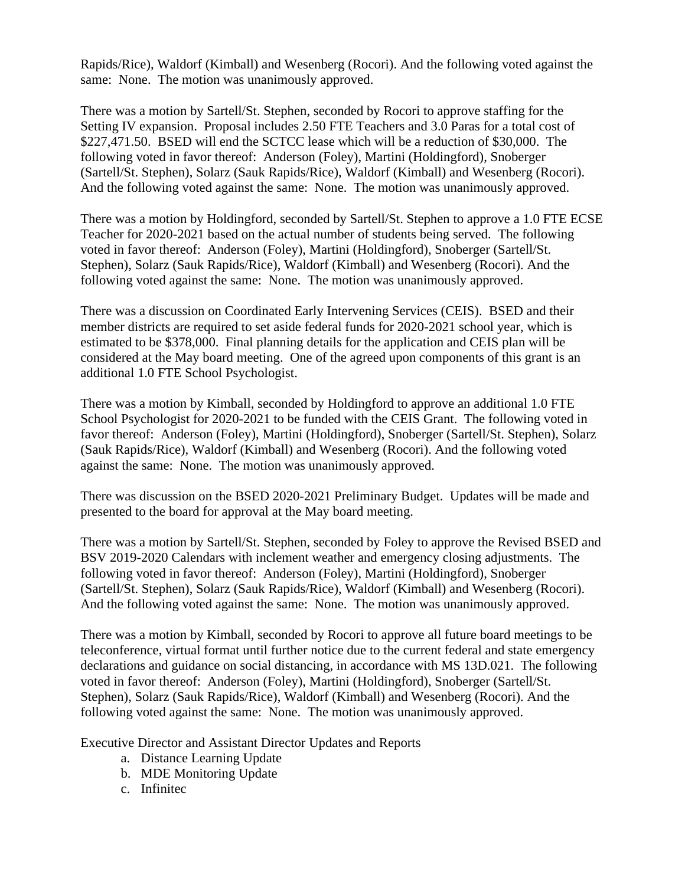Rapids/Rice), Waldorf (Kimball) and Wesenberg (Rocori). And the following voted against the same: None. The motion was unanimously approved.

There was a motion by Sartell/St. Stephen, seconded by Rocori to approve staffing for the Setting IV expansion. Proposal includes 2.50 FTE Teachers and 3.0 Paras for a total cost of \$227,471.50. BSED will end the SCTCC lease which will be a reduction of \$30,000. The following voted in favor thereof: Anderson (Foley), Martini (Holdingford), Snoberger (Sartell/St. Stephen), Solarz (Sauk Rapids/Rice), Waldorf (Kimball) and Wesenberg (Rocori). And the following voted against the same: None. The motion was unanimously approved.

There was a motion by Holdingford, seconded by Sartell/St. Stephen to approve a 1.0 FTE ECSE Teacher for 2020-2021 based on the actual number of students being served. The following voted in favor thereof: Anderson (Foley), Martini (Holdingford), Snoberger (Sartell/St. Stephen), Solarz (Sauk Rapids/Rice), Waldorf (Kimball) and Wesenberg (Rocori). And the following voted against the same: None. The motion was unanimously approved.

There was a discussion on Coordinated Early Intervening Services (CEIS). BSED and their member districts are required to set aside federal funds for 2020-2021 school year, which is estimated to be \$378,000. Final planning details for the application and CEIS plan will be considered at the May board meeting. One of the agreed upon components of this grant is an additional 1.0 FTE School Psychologist.

There was a motion by Kimball, seconded by Holdingford to approve an additional 1.0 FTE School Psychologist for 2020-2021 to be funded with the CEIS Grant. The following voted in favor thereof: Anderson (Foley), Martini (Holdingford), Snoberger (Sartell/St. Stephen), Solarz (Sauk Rapids/Rice), Waldorf (Kimball) and Wesenberg (Rocori). And the following voted against the same: None. The motion was unanimously approved.

There was discussion on the BSED 2020-2021 Preliminary Budget. Updates will be made and presented to the board for approval at the May board meeting.

There was a motion by Sartell/St. Stephen, seconded by Foley to approve the Revised BSED and BSV 2019-2020 Calendars with inclement weather and emergency closing adjustments. The following voted in favor thereof: Anderson (Foley), Martini (Holdingford), Snoberger (Sartell/St. Stephen), Solarz (Sauk Rapids/Rice), Waldorf (Kimball) and Wesenberg (Rocori). And the following voted against the same: None. The motion was unanimously approved.

There was a motion by Kimball, seconded by Rocori to approve all future board meetings to be teleconference, virtual format until further notice due to the current federal and state emergency declarations and guidance on social distancing, in accordance with MS 13D.021. The following voted in favor thereof: Anderson (Foley), Martini (Holdingford), Snoberger (Sartell/St. Stephen), Solarz (Sauk Rapids/Rice), Waldorf (Kimball) and Wesenberg (Rocori). And the following voted against the same: None. The motion was unanimously approved.

Executive Director and Assistant Director Updates and Reports

- a. Distance Learning Update
- b. MDE Monitoring Update
- c. Infinitec